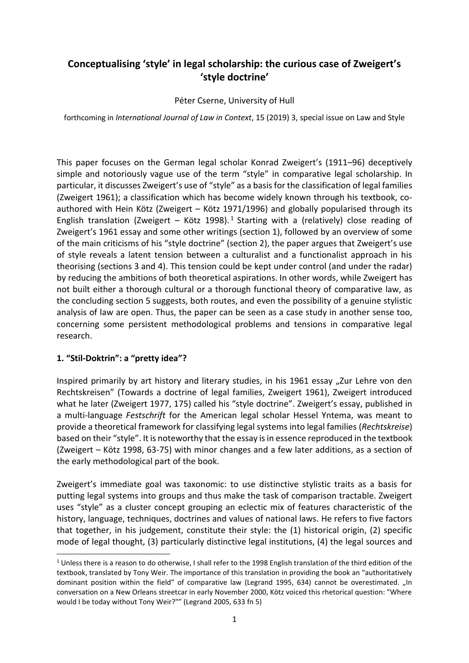# **Conceptualising 'style' in legal scholarship: the curious case of Zweigert's 'style doctrine'**

#### Péter Cserne, University of Hull

forthcoming in *International Journal of Law in Context*, 15 (2019) 3, special issue on Law and Style

This paper focuses on the German legal scholar Konrad Zweigert's (1911–96) deceptively simple and notoriously vague use of the term "style" in comparative legal scholarship. In particular, it discusses Zweigert's use of "style" as a basis for the classification of legal families (Zweigert 1961); a classification which has become widely known through his textbook, coauthored with Hein Kötz (Zweigert – Kötz 1971/1996) and globally popularised through its English translation (Zweigert – Kötz 1998).<sup>1</sup> Starting with a (relatively) close reading of Zweigert's 1961 essay and some other writings (section 1), followed by an overview of some of the main criticisms of his "style doctrine" (section 2), the paper argues that Zweigert's use of style reveals a latent tension between a culturalist and a functionalist approach in his theorising (sections 3 and 4). This tension could be kept under control (and under the radar) by reducing the ambitions of both theoretical aspirations. In other words, while Zweigert has not built either a thorough cultural or a thorough functional theory of comparative law, as the concluding section 5 suggests, both routes, and even the possibility of a genuine stylistic analysis of law are open. Thus, the paper can be seen as a case study in another sense too, concerning some persistent methodological problems and tensions in comparative legal research.

### **1. "Stil-Doktrin": a "pretty idea"?**

 $\overline{a}$ 

Inspired primarily by art history and literary studies, in his 1961 essay "Zur Lehre von den Rechtskreisen" (Towards a doctrine of legal families, Zweigert 1961), Zweigert introduced what he later (Zweigert 1977, 175) called his "style doctrine". Zweigert's essay, published in a multi-language *Festschrift* for the American legal scholar Hessel Yntema, was meant to provide a theoretical framework for classifying legal systems into legal families (*Rechtskreise*) based on their "style". It is noteworthy that the essay is in essence reproduced in the textbook (Zweigert – Kötz 1998, 63-75) with minor changes and a few later additions, as a section of the early methodological part of the book.

Zweigert's immediate goal was taxonomic: to use distinctive stylistic traits as a basis for putting legal systems into groups and thus make the task of comparison tractable. Zweigert uses "style" as a cluster concept grouping an eclectic mix of features characteristic of the history, language, techniques, doctrines and values of national laws. He refers to five factors that together, in his judgement, constitute their style: the (1) historical origin, (2) specific mode of legal thought, (3) particularly distinctive legal institutions, (4) the legal sources and

<sup>&</sup>lt;sup>1</sup> Unless there is a reason to do otherwise, I shall refer to the 1998 English translation of the third edition of the textbook, translated by Tony Weir. The importance of this translation in providing the book an "authoritatively dominant position within the field" of comparative law (Legrand 1995, 634) cannot be overestimated. "In conversation on a New Orleans streetcar in early November 2000, Kötz voiced this rhetorical question: "Where would I be today without Tony Weir?"" (Legrand 2005, 633 fn 5)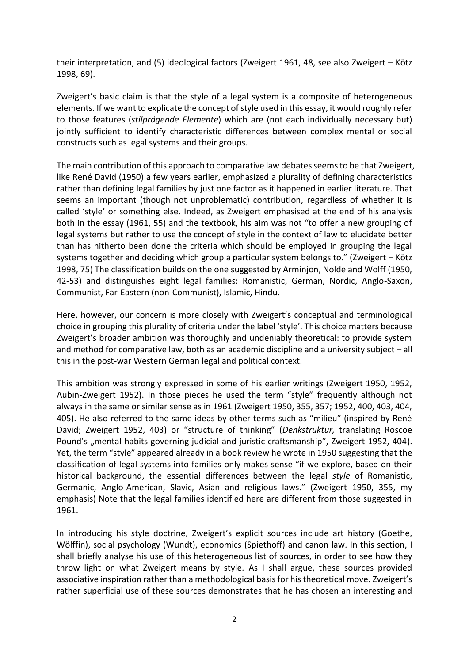their interpretation, and (5) ideological factors (Zweigert 1961, 48, see also Zweigert – Kötz 1998, 69).

Zweigert's basic claim is that the style of a legal system is a composite of heterogeneous elements. If we want to explicate the concept of style used in this essay, it would roughly refer to those features (*stilprägende Elemente*) which are (not each individually necessary but) jointly sufficient to identify characteristic differences between complex mental or social constructs such as legal systems and their groups.

The main contribution of this approach to comparative law debates seems to be that Zweigert, like René David (1950) a few years earlier, emphasized a plurality of defining characteristics rather than defining legal families by just one factor as it happened in earlier literature. That seems an important (though not unproblematic) contribution, regardless of whether it is called 'style' or something else. Indeed, as Zweigert emphasised at the end of his analysis both in the essay (1961, 55) and the textbook, his aim was not "to offer a new grouping of legal systems but rather to use the concept of style in the context of law to elucidate better than has hitherto been done the criteria which should be employed in grouping the legal systems together and deciding which group a particular system belongs to." (Zweigert – Kötz 1998, 75) The classification builds on the one suggested by Arminjon, Nolde and Wolff (1950, 42-53) and distinguishes eight legal families: Romanistic, German, Nordic, Anglo-Saxon, Communist, Far-Eastern (non-Communist), Islamic, Hindu.

Here, however, our concern is more closely with Zweigert's conceptual and terminological choice in grouping this plurality of criteria under the label 'style'. This choice matters because Zweigert's broader ambition was thoroughly and undeniably theoretical: to provide system and method for comparative law, both as an academic discipline and a university subject – all this in the post-war Western German legal and political context.

This ambition was strongly expressed in some of his earlier writings (Zweigert 1950, 1952, Aubin-Zweigert 1952). In those pieces he used the term "style" frequently although not always in the same or similar sense as in 1961 (Zweigert 1950, 355, 357; 1952, 400, 403, 404, 405). He also referred to the same ideas by other terms such as "milieu" (inspired by René David; Zweigert 1952, 403) or "structure of thinking" (*Denkstruktur,* translating Roscoe Pound's "mental habits governing judicial and juristic craftsmanship", Zweigert 1952, 404). Yet, the term "style" appeared already in a book review he wrote in 1950 suggesting that the classification of legal systems into families only makes sense "if we explore, based on their historical background, the essential differences between the legal *style* of Romanistic, Germanic, Anglo-American, Slavic, Asian and religious laws." (Zweigert 1950, 355, my emphasis) Note that the legal families identified here are different from those suggested in 1961.

In introducing his style doctrine, Zweigert's explicit sources include art history (Goethe, Wölffin), social psychology (Wundt), economics (Spiethoff) and canon law. In this section, I shall briefly analyse his use of this heterogeneous list of sources, in order to see how they throw light on what Zweigert means by style. As I shall argue, these sources provided associative inspiration rather than a methodological basis for his theoretical move. Zweigert's rather superficial use of these sources demonstrates that he has chosen an interesting and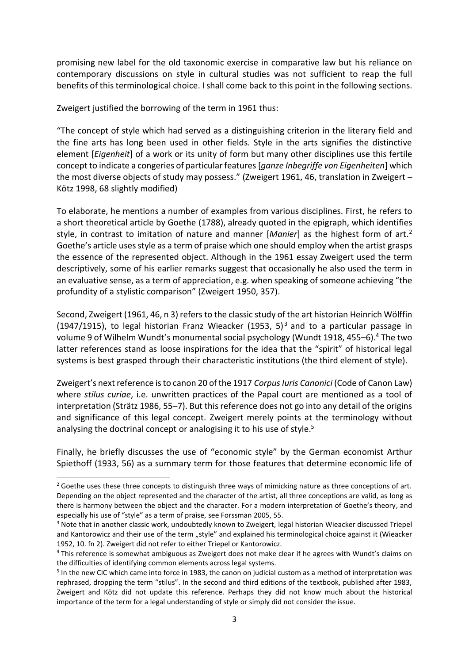promising new label for the old taxonomic exercise in comparative law but his reliance on contemporary discussions on style in cultural studies was not sufficient to reap the full benefits of this terminological choice. I shall come back to this point in the following sections.

Zweigert justified the borrowing of the term in 1961 thus:

"The concept of style which had served as a distinguishing criterion in the literary field and the fine arts has long been used in other fields. Style in the arts signifies the distinctive element [*Eigenheit*] of a work or its unity of form but many other disciplines use this fertile concept to indicate a congeries of particular features [*ganze Inbegriffe von Eigenheiten*] which the most diverse objects of study may possess." (Zweigert 1961, 46, translation in Zweigert – Kötz 1998, 68 slightly modified)

To elaborate, he mentions a number of examples from various disciplines. First, he refers to a short theoretical article by Goethe (1788), already quoted in the epigraph, which identifies style, in contrast to imitation of nature and manner [*Manier*] as the highest form of art. 2 Goethe's article uses style as a term of praise which one should employ when the artist grasps the essence of the represented object. Although in the 1961 essay Zweigert used the term descriptively, some of his earlier remarks suggest that occasionally he also used the term in an evaluative sense, as a term of appreciation, e.g. when speaking of someone achieving "the profundity of a stylistic comparison" (Zweigert 1950, 357).

Second, Zweigert (1961, 46, n 3) refers to the classic study of the art historian Heinrich Wölffin (1947/1915), to legal historian Franz Wieacker (1953, 5)<sup>3</sup> and to a particular passage in volume 9 of Wilhelm Wundt's monumental social psychology (Wundt 1918, 455–6).<sup>4</sup> The two latter references stand as loose inspirations for the idea that the "spirit" of historical legal systems is best grasped through their characteristic institutions (the third element of style).

Zweigert's next reference is to canon 20 of the 1917 *Corpus Iuris Canonici* (Code of Canon Law) where *stilus curiae*, i.e. unwritten practices of the Papal court are mentioned as a tool of interpretation (Strätz 1986, 55–7). But this reference does not go into any detail of the origins and significance of this legal concept. Zweigert merely points at the terminology without analysing the doctrinal concept or analogising it to his use of style.<sup>5</sup>

Finally, he briefly discusses the use of "economic style" by the German economist Arthur Spiethoff (1933, 56) as a summary term for those features that determine economic life of

1

<sup>&</sup>lt;sup>2</sup> Goethe uses these three concepts to distinguish three ways of mimicking nature as three conceptions of art. Depending on the object represented and the character of the artist, all three conceptions are valid, as long as there is harmony between the object and the character. For a modern interpretation of Goethe's theory, and especially his use of "style" as a term of praise, see Forssman 2005, 55.

<sup>3</sup> Note that in another classic work, undoubtedly known to Zweigert, legal historian Wieacker discussed Triepel and Kantorowicz and their use of the term "style" and explained his terminological choice against it (Wieacker 1952, 10. fn 2). Zweigert did not refer to either Triepel or Kantorowicz.

<sup>4</sup> This reference is somewhat ambiguous as Zweigert does not make clear if he agrees with Wundt's claims on the difficulties of identifying common elements across legal systems.

<sup>&</sup>lt;sup>5</sup> In the new CIC which came into force in 1983, the canon on judicial custom as a method of interpretation was rephrased, dropping the term "stilus". In the second and third editions of the textbook, published after 1983, Zweigert and Kötz did not update this reference. Perhaps they did not know much about the historical importance of the term for a legal understanding of style or simply did not consider the issue.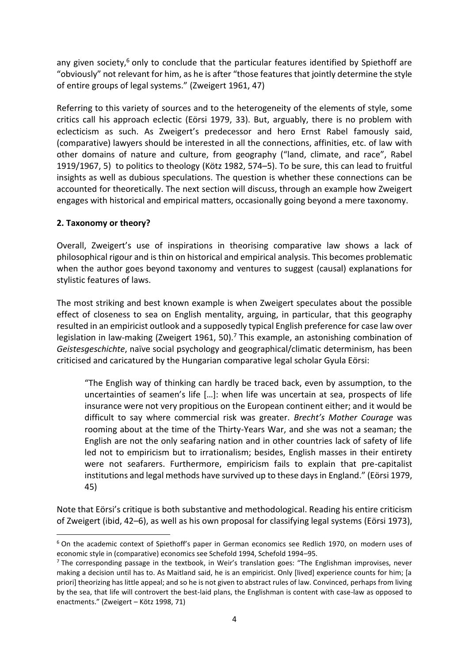any given society, $6$  only to conclude that the particular features identified by Spiethoff are "obviously" not relevant for him, as he is after "those features that jointly determine the style of entire groups of legal systems." (Zweigert 1961, 47)

Referring to this variety of sources and to the heterogeneity of the elements of style, some critics call his approach eclectic (Eörsi 1979, 33). But, arguably, there is no problem with eclecticism as such. As Zweigert's predecessor and hero Ernst Rabel famously said, (comparative) lawyers should be interested in all the connections, affinities, etc. of law with other domains of nature and culture, from geography ("land, climate, and race", Rabel 1919/1967, 5) to politics to theology (Kötz 1982, 574–5). To be sure, this can lead to fruitful insights as well as dubious speculations. The question is whether these connections can be accounted for theoretically. The next section will discuss, through an example how Zweigert engages with historical and empirical matters, occasionally going beyond a mere taxonomy.

## **2. Taxonomy or theory?**

 $\overline{a}$ 

Overall, Zweigert's use of inspirations in theorising comparative law shows a lack of philosophical rigour and is thin on historical and empirical analysis. This becomes problematic when the author goes beyond taxonomy and ventures to suggest (causal) explanations for stylistic features of laws.

The most striking and best known example is when Zweigert speculates about the possible effect of closeness to sea on English mentality, arguing, in particular, that this geography resulted in an empiricist outlook and a supposedly typical English preference for case law over legislation in law-making (Zweigert 1961, 50).<sup>7</sup> This example, an astonishing combination of *Geistesgeschichte*, naïve social psychology and geographical/climatic determinism, has been criticised and caricatured by the Hungarian comparative legal scholar Gyula Eörsi:

"The English way of thinking can hardly be traced back, even by assumption, to the uncertainties of seamen's life […]: when life was uncertain at sea, prospects of life insurance were not very propitious on the European continent either; and it would be difficult to say where commercial risk was greater. *Brecht's Mother Courage* was rooming about at the time of the Thirty-Years War, and she was not a seaman; the English are not the only seafaring nation and in other countries lack of safety of life led not to empiricism but to irrationalism; besides, English masses in their entirety were not seafarers. Furthermore, empiricism fails to explain that pre-capitalist institutions and legal methods have survived up to these days in England." (Eörsi 1979, 45)

Note that Eörsi's critique is both substantive and methodological. Reading his entire criticism of Zweigert (ibid, 42–6), as well as his own proposal for classifying legal systems (Eörsi 1973),

<sup>&</sup>lt;sup>6</sup> On the academic context of Spiethoff's paper in German economics see Redlich 1970, on modern uses of economic style in (comparative) economics see Schefold 1994, Schefold 1994–95.

 $<sup>7</sup>$  The corresponding passage in the textbook, in Weir's translation goes: "The Englishman improvises, never</sup> making a decision until has to. As Maitland said, he is an empiricist. Only [lived] experience counts for him; [a priori] theorizing has little appeal; and so he is not given to abstract rules of law. Convinced, perhaps from living by the sea, that life will controvert the best-laid plans, the Englishman is content with case-law as opposed to enactments." (Zweigert – Kötz 1998, 71)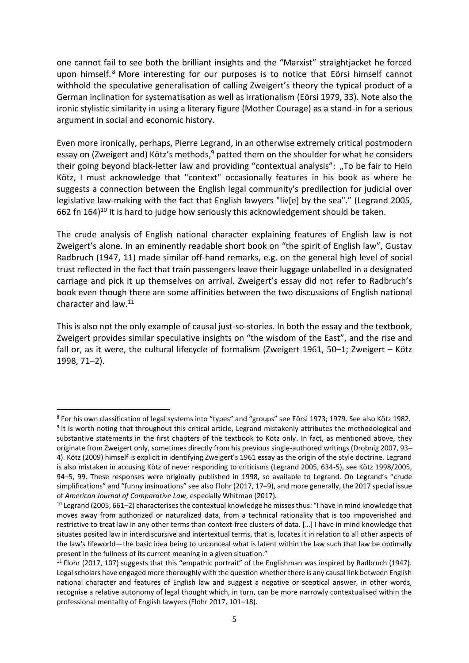one cannot fail to see both the brilliant insights and the "Marxist" straightjacket he forced upon himself.<sup>8</sup> More interesting for our purposes is to notice that Eörsi himself cannot withhold the speculative generalisation of calling Zweigert's theory the typical product of a German inclination for systematisation as well as irrationalism (Eörsi 1979, 33). Note also the ironic stylistic similarity in using a literary figure (Mother Courage) as a stand-in for a serious argument in social and economic history.

Even more ironically, perhaps, Pierre Legrand, in an otherwise extremely critical postmodern essay on (Zweigert and) Kötz's methods,<sup>9</sup> patted them on the shoulder for what he considers their going beyond black-letter law and providing "contextual analysis": "To be fair to Hein Kötz, I must acknowledge that "context" occasionally features in his book as where he suggests a connection between the English legal community's predilection for judicial over legislative law-making with the fact that English lawyers "liv[e] by the sea"." (Legrand 2005, 662 fn  $164$ <sup>10</sup> It is hard to judge how seriously this acknowledgement should be taken.

The crude analysis of English national character explaining features of English law is not Zweigert's alone. In an eminently readable short book on "the spirit of English law", Gustav Radbruch (1947, 11) made similar off-hand remarks, e.g. on the general high level of social trust reflected in the fact that train passengers leave their luggage unlabelled in a designated carriage and pick it up themselves on arrival. Zweigert's essay did not refer to Radbruch's book even though there are some affinities between the two discussions of English national character and law.<sup>11</sup>

This is also not the only example of causal just-so-stories. In both the essay and the textbook, Zweigert provides similar speculative insights on "the wisdom of the East", and the rise and fall or, as it were, the cultural lifecycle of formalism (Zweigert 1961, 50–1; Zweigert – Kötz 1998, 71–2).

**.** 

<sup>8</sup> For his own classification of legal systems into "types" and "groups" see Eörsi 1973; 1979. See also Kötz 1982. <sup>9</sup> It is worth noting that throughout this critical article, Legrand mistakenly attributes the methodological and substantive statements in the first chapters of the textbook to Kötz only. In fact, as mentioned above, they originate from Zweigert only, sometimes directly from his previous single-authored writings (Drobnig 2007, 93– 4). Kötz (2009) himself is explicit in identifying Zweigert's 1961 essay as the origin of the style doctrine. Legrand is also mistaken in accusing Kötz of never responding to criticisms (Legrand 2005, 634-5), see Kötz 1998/2005, 94–5, 99. These responses were originally published in 1998, so available to Legrand. On Legrand's "crude simplifications" and "funny insinuations" see also Flohr (2017, 17–9), and more generally, the 2017 special issue of *American Journal of Comparative Law*, especially Whitman (2017)*.*

<sup>&</sup>lt;sup>10</sup> Legrand (2005, 661–2) characterises the contextual knowledge he misses thus: "I have in mind knowledge that moves away from authorized or naturalized data, from a technical rationality that is too impoverished and restrictive to treat law in any other terms than context-free clusters of data. […] I have in mind knowledge that situates posited law in interdiscursive and intertextual terms, that is, locates it in relation to all other aspects of the law's lifeworld—the basic idea being to unconceal what is latent within the law such that law be optimally present in the fullness of its current meaning in a given situation."

<sup>&</sup>lt;sup>11</sup> Flohr (2017, 107) suggests that this "empathic portrait" of the Englishman was inspired by Radbruch (1947). Legal scholars have engaged more thoroughly with the question whether there is any causal link between English national character and features of English law and suggest a negative or sceptical answer, in other words, recognise a relative autonomy of legal thought which, in turn, can be more narrowly contextualised within the professional mentality of English lawyers (Flohr 2017, 101–18).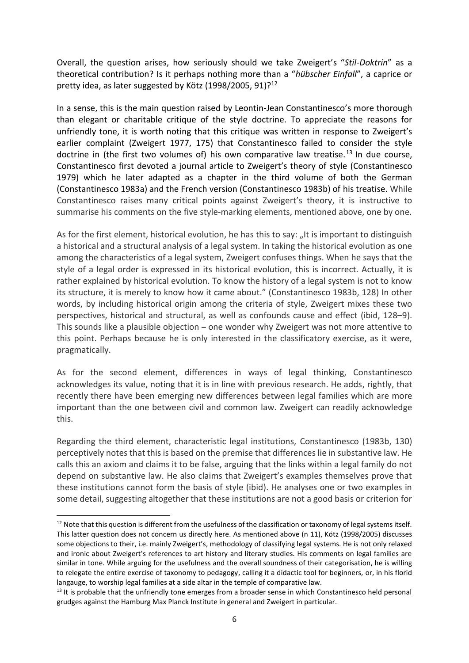Overall, the question arises, how seriously should we take Zweigert's "*Stil-Doktrin*" as a theoretical contribution? Is it perhaps nothing more than a "*hübscher Einfall*", a caprice or pretty idea, as later suggested by Kötz (1998/2005, 91)?<sup>12</sup>

In a sense, this is the main question raised by Leontin-Jean Constantinesco's more thorough than elegant or charitable critique of the style doctrine. To appreciate the reasons for unfriendly tone, it is worth noting that this critique was written in response to Zweigert's earlier complaint (Zweigert 1977, 175) that Constantinesco failed to consider the style doctrine in (the first two volumes of) his own comparative law treatise.<sup>13</sup> In due course, Constantinesco first devoted a journal article to Zweigert's theory of style (Constantinesco 1979) which he later adapted as a chapter in the third volume of both the German (Constantinesco 1983a) and the French version (Constantinesco 1983b) of his treatise. While Constantinesco raises many critical points against Zweigert's theory, it is instructive to summarise his comments on the five style-marking elements, mentioned above, one by one.

As for the first element, historical evolution, he has this to say: "It is important to distinguish a historical and a structural analysis of a legal system. In taking the historical evolution as one among the characteristics of a legal system, Zweigert confuses things. When he says that the style of a legal order is expressed in its historical evolution, this is incorrect. Actually, it is rather explained by historical evolution. To know the history of a legal system is not to know its structure, it is merely to know how it came about." (Constantinesco 1983b, 128) In other words, by including historical origin among the criteria of style, Zweigert mixes these two perspectives, historical and structural, as well as confounds cause and effect (ibid, 128–9). This sounds like a plausible objection – one wonder why Zweigert was not more attentive to this point. Perhaps because he is only interested in the classificatory exercise, as it were, pragmatically.

As for the second element, differences in ways of legal thinking, Constantinesco acknowledges its value, noting that it is in line with previous research. He adds, rightly, that recently there have been emerging new differences between legal families which are more important than the one between civil and common law. Zweigert can readily acknowledge this.

Regarding the third element, characteristic legal institutions, Constantinesco (1983b, 130) perceptively notes that this is based on the premise that differences lie in substantive law. He calls this an axiom and claims it to be false, arguing that the links within a legal family do not depend on substantive law. He also claims that Zweigert's examples themselves prove that these institutions cannot form the basis of style (ibid). He analyses one or two examples in some detail, suggesting altogether that these institutions are not a good basis or criterion for

1

<sup>&</sup>lt;sup>12</sup> Note that this question is different from the usefulness of the classification or taxonomy of legal systems itself. This latter question does not concern us directly here. As mentioned above (n 11), Kötz (1998/2005) discusses some objections to their, i.e. mainly Zweigert's, methodology of classifying legal systems. He is not only relaxed and ironic about Zweigert's references to art history and literary studies. His comments on legal families are similar in tone. While arguing for the usefulness and the overall soundness of their categorisation, he is willing to relegate the entire exercise of taxonomy to pedagogy, calling it a didactic tool for beginners, or, in his florid langauge, to worship legal families at a side altar in the temple of comparative law.

<sup>&</sup>lt;sup>13</sup> It is probable that the unfriendly tone emerges from a broader sense in which Constantinesco held personal grudges against the Hamburg Max Planck Institute in general and Zweigert in particular.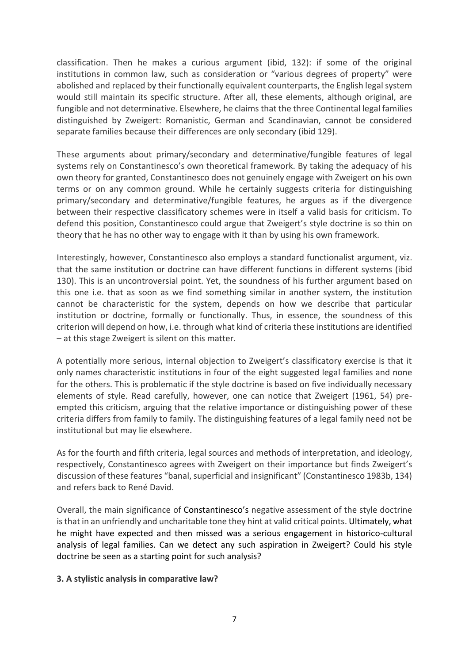classification. Then he makes a curious argument (ibid, 132): if some of the original institutions in common law, such as consideration or "various degrees of property" were abolished and replaced by their functionally equivalent counterparts, the English legal system would still maintain its specific structure. After all, these elements, although original, are fungible and not determinative. Elsewhere, he claims that the three Continental legal families distinguished by Zweigert: Romanistic, German and Scandinavian, cannot be considered separate families because their differences are only secondary (ibid 129).

These arguments about primary/secondary and determinative/fungible features of legal systems rely on Constantinesco's own theoretical framework. By taking the adequacy of his own theory for granted, Constantinesco does not genuinely engage with Zweigert on his own terms or on any common ground. While he certainly suggests criteria for distinguishing primary/secondary and determinative/fungible features, he argues as if the divergence between their respective classificatory schemes were in itself a valid basis for criticism. To defend this position, Constantinesco could argue that Zweigert's style doctrine is so thin on theory that he has no other way to engage with it than by using his own framework.

Interestingly, however, Constantinesco also employs a standard functionalist argument, viz. that the same institution or doctrine can have different functions in different systems (ibid 130). This is an uncontroversial point. Yet, the soundness of his further argument based on this one i.e. that as soon as we find something similar in another system, the institution cannot be characteristic for the system, depends on how we describe that particular institution or doctrine, formally or functionally. Thus, in essence, the soundness of this criterion will depend on how, i.e. through what kind of criteria these institutions are identified – at this stage Zweigert is silent on this matter.

A potentially more serious, internal objection to Zweigert's classificatory exercise is that it only names characteristic institutions in four of the eight suggested legal families and none for the others. This is problematic if the style doctrine is based on five individually necessary elements of style. Read carefully, however, one can notice that Zweigert (1961, 54) preempted this criticism, arguing that the relative importance or distinguishing power of these criteria differs from family to family. The distinguishing features of a legal family need not be institutional but may lie elsewhere.

As for the fourth and fifth criteria, legal sources and methods of interpretation, and ideology, respectively, Constantinesco agrees with Zweigert on their importance but finds Zweigert's discussion of these features "banal, superficial and insignificant" (Constantinesco 1983b, 134) and refers back to René David.

Overall, the main significance of Constantinesco's negative assessment of the style doctrine is that in an unfriendly and uncharitable tone they hint at valid critical points. Ultimately, what he might have expected and then missed was a serious engagement in historico-cultural analysis of legal families. Can we detect any such aspiration in Zweigert? Could his style doctrine be seen as a starting point for such analysis?

### **3. A stylistic analysis in comparative law?**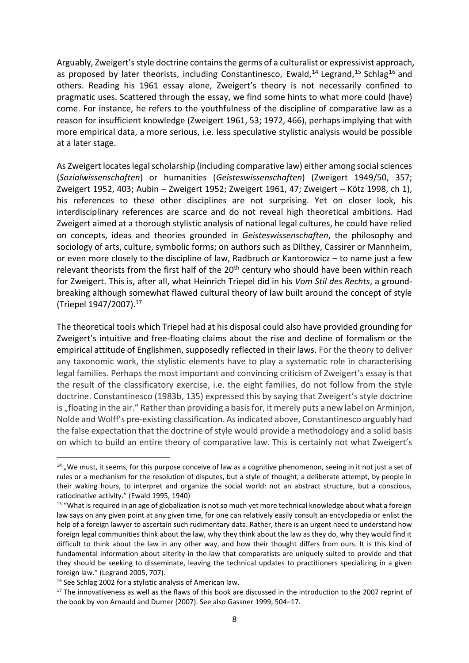Arguably, Zweigert's style doctrine contains the germs of a culturalist or expressivist approach, as proposed by later theorists, including Constantinesco, Ewald,<sup>14</sup> Legrand,<sup>15</sup> Schlag<sup>16</sup> and others. Reading his 1961 essay alone, Zweigert's theory is not necessarily confined to pragmatic uses. Scattered through the essay, we find some hints to what more could (have) come. For instance, he refers to the youthfulness of the discipline of comparative law as a reason for insufficient knowledge (Zweigert 1961, 53; 1972, 466), perhaps implying that with more empirical data, a more serious, i.e. less speculative stylistic analysis would be possible at a later stage.

As Zweigert locates legal scholarship (including comparative law) either among social sciences (*Sozialwissenschaften*) or humanities (*Geisteswissenschaften*) (Zweigert 1949/50, 357; Zweigert 1952, 403; Aubin – Zweigert 1952; Zweigert 1961, 47; Zweigert – Kötz 1998, ch 1), his references to these other disciplines are not surprising. Yet on closer look, his interdisciplinary references are scarce and do not reveal high theoretical ambitions. Had Zweigert aimed at a thorough stylistic analysis of national legal cultures, he could have relied on concepts, ideas and theories grounded in *Geisteswissenschaften*, the philosophy and sociology of arts, culture, symbolic forms; on authors such as Dilthey, Cassirer or Mannheim, or even more closely to the discipline of law, Radbruch or Kantorowicz – to name just a few relevant theorists from the first half of the  $20<sup>th</sup>$  century who should have been within reach for Zweigert. This is, after all, what Heinrich Triepel did in his *Vom Stil des Rechts*, a groundbreaking although somewhat flawed cultural theory of law built around the concept of style (Triepel 1947/2007).<sup>17</sup>

The theoretical tools which Triepel had at his disposal could also have provided grounding for Zweigert's intuitive and free-floating claims about the rise and decline of formalism or the empirical attitude of Englishmen, supposedly reflected in their laws. For the theory to deliver any taxonomic work, the stylistic elements have to play a systematic role in characterising legal families. Perhaps the most important and convincing criticism of Zweigert's essay is that the result of the classificatory exercise, i.e. the eight families, do not follow from the style doctrine. Constantinesco (1983b, 135) expressed this by saying that Zweigert's style doctrine is "floating in the air." Rather than providing a basis for, it merely puts a new label on Arminjon, Nolde and Wolff's pre-existing classification. As indicated above, Constantinesco arguably had the false expectation that the doctrine of style would provide a methodology and a solid basis on which to build an entire theory of comparative law. This is certainly not what Zweigert's

**.** 

 $14$  "We must, it seems, for this purpose conceive of law as a cognitive phenomenon, seeing in it not just a set of rules or a mechanism for the resolution of disputes, but a style of thought, a deliberate attempt, by people in their waking hours, to interpret and organize the social world: not an abstract structure, but a conscious, ratiocinative activity." (Ewald 1995, 1940)

<sup>&</sup>lt;sup>15</sup> "What is required in an age of globalization is not so much yet more technical knowledge about what a foreign law says on any given point at any given time, for one can relatively easily consult an encyclopedia or enlist the help of a foreign lawyer to ascertain such rudimentary data. Rather, there is an urgent need to understand how foreign legal communities think about the law, why they think about the law as they do, why they would find it difficult to think about the law in any other way, and how their thought differs from ours. It is this kind of fundamental information about alterity-in the-law that comparatists are uniquely suited to provide and that they should be seeking to disseminate, leaving the technical updates to practitioners specializing in a given foreign law." (Legrand 2005, 707).

<sup>16</sup> See Schlag 2002 for a stylistic analysis of American law.

<sup>&</sup>lt;sup>17</sup> The innovativeness as well as the flaws of this book are discussed in the introduction to the 2007 reprint of the book by von Arnauld and Durner (2007). See also Gassner 1999, 504–17.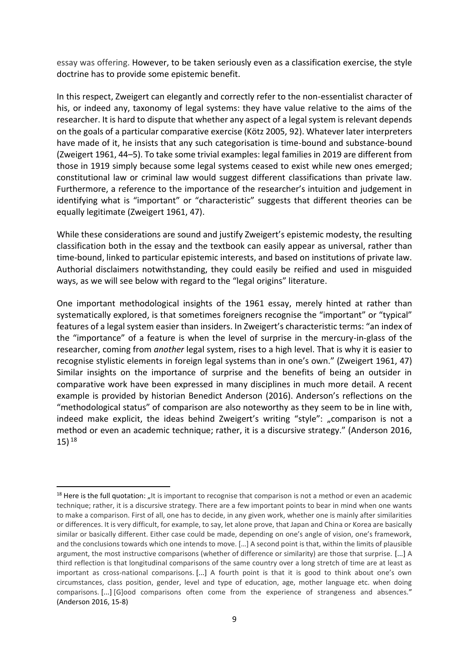essay was offering. However, to be taken seriously even as a classification exercise, the style doctrine has to provide some epistemic benefit.

In this respect, Zweigert can elegantly and correctly refer to the non-essentialist character of his, or indeed any, taxonomy of legal systems: they have value relative to the aims of the researcher. It is hard to dispute that whether any aspect of a legal system is relevant depends on the goals of a particular comparative exercise (Kötz 2005, 92). Whatever later interpreters have made of it, he insists that any such categorisation is time-bound and substance-bound (Zweigert 1961, 44–5). To take some trivial examples: legal families in 2019 are different from those in 1919 simply because some legal systems ceased to exist while new ones emerged; constitutional law or criminal law would suggest different classifications than private law. Furthermore, a reference to the importance of the researcher's intuition and judgement in identifying what is "important" or "characteristic" suggests that different theories can be equally legitimate (Zweigert 1961, 47).

While these considerations are sound and justify Zweigert's epistemic modesty, the resulting classification both in the essay and the textbook can easily appear as universal, rather than time-bound, linked to particular epistemic interests, and based on institutions of private law. Authorial disclaimers notwithstanding, they could easily be reified and used in misguided ways, as we will see below with regard to the "legal origins" literature.

One important methodological insights of the 1961 essay, merely hinted at rather than systematically explored, is that sometimes foreigners recognise the "important" or "typical" features of a legal system easier than insiders. In Zweigert's characteristic terms: "an index of the "importance" of a feature is when the level of surprise in the mercury-in-glass of the researcher, coming from *another* legal system, rises to a high level. That is why it is easier to recognise stylistic elements in foreign legal systems than in one's own." (Zweigert 1961, 47) Similar insights on the importance of surprise and the benefits of being an outsider in comparative work have been expressed in many disciplines in much more detail. A recent example is provided by historian Benedict Anderson (2016). Anderson's reflections on the "methodological status" of comparison are also noteworthy as they seem to be in line with, indeed make explicit, the ideas behind Zweigert's writing "style": "comparison is not a method or even an academic technique; rather, it is a discursive strategy." (Anderson 2016,  $15)$  <sup>18</sup>

 $\overline{a}$ 

 $18$  Here is the full quotation: "It is important to recognise that comparison is not a method or even an academic technique; rather, it is a discursive strategy. There are a few important points to bear in mind when one wants to make a comparison. First of all, one has to decide, in any given work, whether one is mainly after similarities or differences. It is very difficult, for example, to say, let alone prove, that Japan and China or Korea are basically similar or basically different. Either case could be made, depending on one's angle of vision, one's framework, and the conclusions towards which one intends to move. […] A second point is that, within the limits of plausible argument, the most instructive comparisons (whether of difference or similarity) are those that surprise. [...] A third reflection is that longitudinal comparisons of the same country over a long stretch of time are at least as important as cross-national comparisons. [...] A fourth point is that it is good to think about one's own circumstances, class position, gender, level and type of education, age, mother language etc. when doing comparisons. [...] [G]ood comparisons often come from the experience of strangeness and absences." (Anderson 2016, 15-8)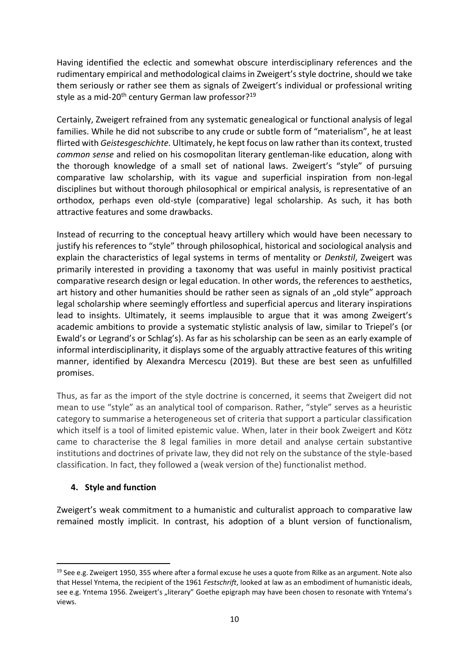Having identified the eclectic and somewhat obscure interdisciplinary references and the rudimentary empirical and methodological claims in Zweigert's style doctrine, should we take them seriously or rather see them as signals of Zweigert's individual or professional writing style as a mid-20<sup>th</sup> century German law professor?<sup>19</sup>

Certainly, Zweigert refrained from any systematic genealogical or functional analysis of legal families. While he did not subscribe to any crude or subtle form of "materialism", he at least flirted with *Geistesgeschichte.* Ultimately, he kept focus on law rather than its context, trusted *common sense* and relied on his cosmopolitan literary gentleman-like education, along with the thorough knowledge of a small set of national laws. Zweigert's "style" of pursuing comparative law scholarship, with its vague and superficial inspiration from non-legal disciplines but without thorough philosophical or empirical analysis, is representative of an orthodox, perhaps even old-style (comparative) legal scholarship. As such, it has both attractive features and some drawbacks.

Instead of recurring to the conceptual heavy artillery which would have been necessary to justify his references to "style" through philosophical, historical and sociological analysis and explain the characteristics of legal systems in terms of mentality or *Denkstil*, Zweigert was primarily interested in providing a taxonomy that was useful in mainly positivist practical comparative research design or legal education. In other words, the references to aesthetics, art history and other humanities should be rather seen as signals of an "old style" approach legal scholarship where seemingly effortless and superficial apercus and literary inspirations lead to insights. Ultimately, it seems implausible to argue that it was among Zweigert's academic ambitions to provide a systematic stylistic analysis of law, similar to Triepel's (or Ewald's or Legrand's or Schlag's). As far as his scholarship can be seen as an early example of informal interdisciplinarity, it displays some of the arguably attractive features of this writing manner, identified by Alexandra Mercescu (2019). But these are best seen as unfulfilled promises.

Thus, as far as the import of the style doctrine is concerned, it seems that Zweigert did not mean to use "style" as an analytical tool of comparison. Rather, "style" serves as a heuristic category to summarise a heterogeneous set of criteria that support a particular classification which itself is a tool of limited epistemic value. When, later in their book Zweigert and Kötz came to characterise the 8 legal families in more detail and analyse certain substantive institutions and doctrines of private law, they did not rely on the substance of the style-based classification. In fact, they followed a (weak version of the) functionalist method.

# **4. Style and function**

**.** 

Zweigert's weak commitment to a humanistic and culturalist approach to comparative law remained mostly implicit. In contrast, his adoption of a blunt version of functionalism,

<sup>&</sup>lt;sup>19</sup> See e.g. Zweigert 1950, 355 where after a formal excuse he uses a quote from Rilke as an argument. Note also that Hessel Yntema, the recipient of the 1961 *Festschrift*, looked at law as an embodiment of humanistic ideals, see e.g. Yntema 1956. Zweigert's "literary" Goethe epigraph may have been chosen to resonate with Yntema's views.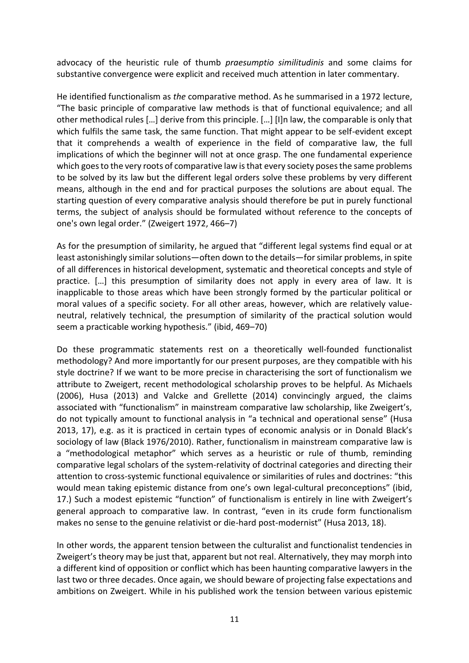advocacy of the heuristic rule of thumb *praesumptio similitudinis* and some claims for substantive convergence were explicit and received much attention in later commentary.

He identified functionalism as *the* comparative method. As he summarised in a 1972 lecture, "The basic principle of comparative law methods is that of functional equivalence; and all other methodical rules […] derive from this principle. […] [I]n law, the comparable is only that which fulfils the same task, the same function. That might appear to be self-evident except that it comprehends a wealth of experience in the field of comparative law, the full implications of which the beginner will not at once grasp. The one fundamental experience which goes to the very roots of comparative law is that every society poses the same problems to be solved by its law but the different legal orders solve these problems by very different means, although in the end and for practical purposes the solutions are about equal. The starting question of every comparative analysis should therefore be put in purely functional terms, the subject of analysis should be formulated without reference to the concepts of one's own legal order." (Zweigert 1972, 466–7)

As for the presumption of similarity, he argued that "different legal systems find equal or at least astonishingly similar solutions—often down to the details—forsimilar problems, in spite of all differences in historical development, systematic and theoretical concepts and style of practice. […] this presumption of similarity does not apply in every area of law. It is inapplicable to those areas which have been strongly formed by the particular political or moral values of a specific society. For all other areas, however, which are relatively valueneutral, relatively technical, the presumption of similarity of the practical solution would seem a practicable working hypothesis." (ibid, 469–70)

Do these programmatic statements rest on a theoretically well-founded functionalist methodology? And more importantly for our present purposes, are they compatible with his style doctrine? If we want to be more precise in characterising the sort of functionalism we attribute to Zweigert, recent methodological scholarship proves to be helpful. As Michaels (2006), Husa (2013) and Valcke and Grellette (2014) convincingly argued, the claims associated with "functionalism" in mainstream comparative law scholarship, like Zweigert's, do not typically amount to functional analysis in "a technical and operational sense" (Husa 2013, 17), e.g. as it is practiced in certain types of economic analysis or in Donald Black's sociology of law (Black 1976/2010). Rather, functionalism in mainstream comparative law is a "methodological metaphor" which serves as a heuristic or rule of thumb, reminding comparative legal scholars of the system-relativity of doctrinal categories and directing their attention to cross-systemic functional equivalence or similarities of rules and doctrines: "this would mean taking epistemic distance from one's own legal-cultural preconceptions" (ibid, 17.) Such a modest epistemic "function" of functionalism is entirely in line with Zweigert's general approach to comparative law. In contrast, "even in its crude form functionalism makes no sense to the genuine relativist or die-hard post-modernist" (Husa 2013, 18).

In other words, the apparent tension between the culturalist and functionalist tendencies in Zweigert's theory may be just that, apparent but not real. Alternatively, they may morph into a different kind of opposition or conflict which has been haunting comparative lawyers in the last two or three decades. Once again, we should beware of projecting false expectations and ambitions on Zweigert. While in his published work the tension between various epistemic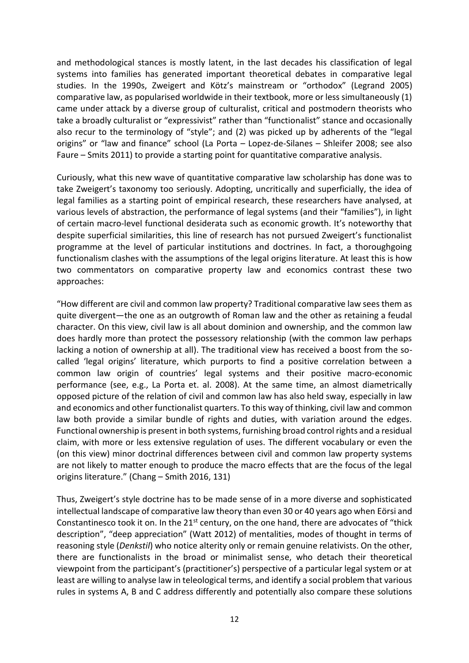and methodological stances is mostly latent, in the last decades his classification of legal systems into families has generated important theoretical debates in comparative legal studies. In the 1990s, Zweigert and Kötz's mainstream or "orthodox" (Legrand 2005) comparative law, as popularised worldwide in their textbook, more or less simultaneously (1) came under attack by a diverse group of culturalist, critical and postmodern theorists who take a broadly culturalist or "expressivist" rather than "functionalist" stance and occasionally also recur to the terminology of "style"; and (2) was picked up by adherents of the "legal origins" or "law and finance" school (La Porta – Lopez-de-Silanes – Shleifer 2008; see also Faure – Smits 2011) to provide a starting point for quantitative comparative analysis.

Curiously, what this new wave of quantitative comparative law scholarship has done was to take Zweigert's taxonomy too seriously. Adopting, uncritically and superficially, the idea of legal families as a starting point of empirical research, these researchers have analysed, at various levels of abstraction, the performance of legal systems (and their "families"), in light of certain macro-level functional desiderata such as economic growth. It's noteworthy that despite superficial similarities, this line of research has not pursued Zweigert's functionalist programme at the level of particular institutions and doctrines. In fact, a thoroughgoing functionalism clashes with the assumptions of the legal origins literature. At least this is how two commentators on comparative property law and economics contrast these two approaches:

"How different are civil and common law property? Traditional comparative law sees them as quite divergent—the one as an outgrowth of Roman law and the other as retaining a feudal character. On this view, civil law is all about dominion and ownership, and the common law does hardly more than protect the possessory relationship (with the common law perhaps lacking a notion of ownership at all). The traditional view has received a boost from the socalled 'legal origins' literature, which purports to find a positive correlation between a common law origin of countries' legal systems and their positive macro-economic performance (see, e.g., La Porta et. al. 2008). At the same time, an almost diametrically opposed picture of the relation of civil and common law has also held sway, especially in law and economics and other functionalist quarters. To this way of thinking, civil law and common law both provide a similar bundle of rights and duties, with variation around the edges. Functional ownership is present in both systems, furnishing broad control rights and a residual claim, with more or less extensive regulation of uses. The different vocabulary or even the (on this view) minor doctrinal differences between civil and common law property systems are not likely to matter enough to produce the macro effects that are the focus of the legal origins literature." (Chang – Smith 2016, 131)

Thus, Zweigert's style doctrine has to be made sense of in a more diverse and sophisticated intellectual landscape of comparative law theory than even 30 or 40 years ago when Eörsi and Constantinesco took it on. In the 21<sup>st</sup> century, on the one hand, there are advocates of "thick description", "deep appreciation" (Watt 2012) of mentalities, modes of thought in terms of reasoning style (*Denkstil*) who notice alterity only or remain genuine relativists. On the other, there are functionalists in the broad or minimalist sense, who detach their theoretical viewpoint from the participant's (practitioner's) perspective of a particular legal system or at least are willing to analyse law in teleological terms, and identify a social problem that various rules in systems A, B and C address differently and potentially also compare these solutions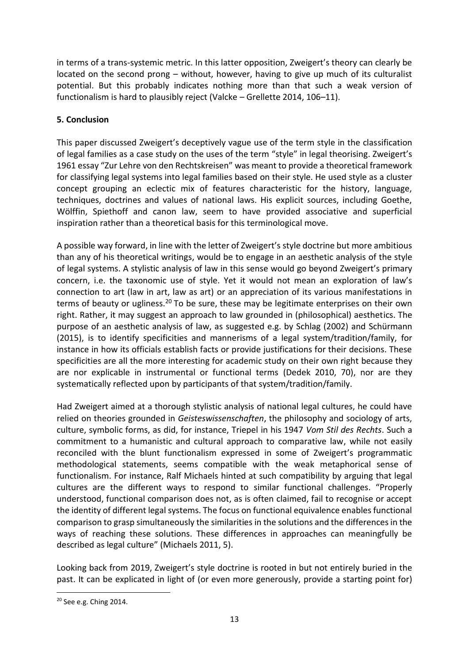in terms of a trans-systemic metric. In this latter opposition, Zweigert's theory can clearly be located on the second prong – without, however, having to give up much of its culturalist potential. But this probably indicates nothing more than that such a weak version of functionalism is hard to plausibly reject (Valcke – Grellette 2014, 106–11).

## **5. Conclusion**

This paper discussed Zweigert's deceptively vague use of the term style in the classification of legal families as a case study on the uses of the term "style" in legal theorising. Zweigert's 1961 essay "Zur Lehre von den Rechtskreisen" was meant to provide a theoretical framework for classifying legal systems into legal families based on their style. He used style as a cluster concept grouping an eclectic mix of features characteristic for the history, language, techniques, doctrines and values of national laws. His explicit sources, including Goethe, Wölffin, Spiethoff and canon law, seem to have provided associative and superficial inspiration rather than a theoretical basis for this terminological move.

A possible way forward, in line with the letter of Zweigert's style doctrine but more ambitious than any of his theoretical writings, would be to engage in an aesthetic analysis of the style of legal systems. A stylistic analysis of law in this sense would go beyond Zweigert's primary concern, i.e. the taxonomic use of style. Yet it would not mean an exploration of law's connection to art (law in art, law as art) or an appreciation of its various manifestations in terms of beauty or ugliness.<sup>20</sup> To be sure, these may be legitimate enterprises on their own right. Rather, it may suggest an approach to law grounded in (philosophical) aesthetics. The purpose of an aesthetic analysis of law, as suggested e.g. by Schlag (2002) and Schürmann (2015), is to identify specificities and mannerisms of a legal system/tradition/family, for instance in how its officials establish facts or provide justifications for their decisions. These specificities are all the more interesting for academic study on their own right because they are nor explicable in instrumental or functional terms (Dedek 2010, 70), nor are they systematically reflected upon by participants of that system/tradition/family.

Had Zweigert aimed at a thorough stylistic analysis of national legal cultures, he could have relied on theories grounded in *Geisteswissenschaften*, the philosophy and sociology of arts, culture, symbolic forms, as did, for instance, Triepel in his 1947 *Vom Stil des Rechts*. Such a commitment to a humanistic and cultural approach to comparative law, while not easily reconciled with the blunt functionalism expressed in some of Zweigert's programmatic methodological statements, seems compatible with the weak metaphorical sense of functionalism. For instance, Ralf Michaels hinted at such compatibility by arguing that legal cultures are the different ways to respond to similar functional challenges. "Properly understood, functional comparison does not, as is often claimed, fail to recognise or accept the identity of different legal systems. The focus on functional equivalence enables functional comparison to grasp simultaneously the similarities in the solutions and the differences in the ways of reaching these solutions. These differences in approaches can meaningfully be described as legal culture" (Michaels 2011, 5).

Looking back from 2019, Zweigert's style doctrine is rooted in but not entirely buried in the past. It can be explicated in light of (or even more generously, provide a starting point for)

**.** 

<sup>20</sup> See e.g. Ching 2014.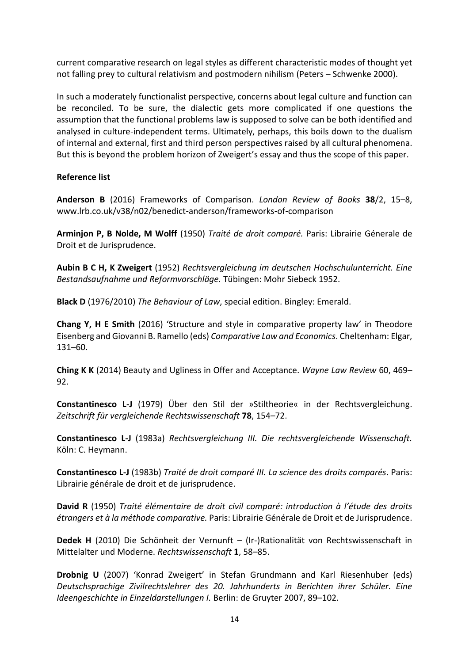current comparative research on legal styles as different characteristic modes of thought yet not falling prey to cultural relativism and postmodern nihilism (Peters – Schwenke 2000).

In such a moderately functionalist perspective, concerns about legal culture and function can be reconciled. To be sure, the dialectic gets more complicated if one questions the assumption that the functional problems law is supposed to solve can be both identified and analysed in culture-independent terms. Ultimately, perhaps, this boils down to the dualism of internal and external, first and third person perspectives raised by all cultural phenomena. But this is beyond the problem horizon of Zweigert's essay and thus the scope of this paper.

#### **Reference list**

**Anderson B** (2016) Frameworks of Comparison. *London Review of Books* **38**/2, 15–8, www.lrb.co.uk/v38/n02/benedict-anderson/frameworks-of-comparison

**Arminjon P, B Nolde, M Wolff** (1950) *Traité de droit comparé.* Paris: Librairie Génerale de Droit et de Jurisprudence.

**Aubin B C H, K Zweigert** (1952) *Rechtsvergleichung im deutschen Hochschulunterricht. Eine Bestandsaufnahme und Reformvorschläge.* Tübingen: Mohr Siebeck 1952.

**Black D** (1976/2010) *The Behaviour of Law*, special edition. Bingley: Emerald.

**Chang Y, H E Smith** (2016) 'Structure and style in comparative property law' in Theodore Eisenberg and Giovanni B. Ramello (eds) *Comparative Law and Economics*. Cheltenham: Elgar, 131–60.

**Ching K K** (2014) Beauty and Ugliness in Offer and Acceptance. *Wayne Law Review* 60, 469– 92.

**Constantinesco L-J** (1979) Über den Stil der »Stiltheorie« in der Rechtsvergleichung. *Zeitschrift für vergleichende Rechtswissenschaft* **78**, 154–72.

**Constantinesco L-J** (1983a) *Rechtsvergleichung III. Die rechtsvergleichende Wissenschaft.* Köln: C. Heymann.

**Constantinesco L-J** (1983b) *Traité de droit comparé III. La science des droits comparés*. Paris: Librairie générale de droit et de jurisprudence.

**David R** (1950) *Traité élémentaire de droit civil comparé: introduction à l'étude des droits étrangers et à la méthode comparative.* Paris: Librairie Générale de Droit et de Jurisprudence.

**Dedek H** (2010) Die Schönheit der Vernunft – (Ir-)Rationalität von Rechtswissenschaft in Mittelalter und Moderne. *Rechtswissenschaft* **1**, 58–85.

**Drobnig U** (2007) 'Konrad Zweigert' in Stefan Grundmann and Karl Riesenhuber (eds) *Deutschsprachige Zivilrechtslehrer des 20. Jahrhunderts in Berichten ihrer Schüler. Eine Ideengeschichte in Einzeldarstellungen I.* Berlin: de Gruyter 2007, 89–102.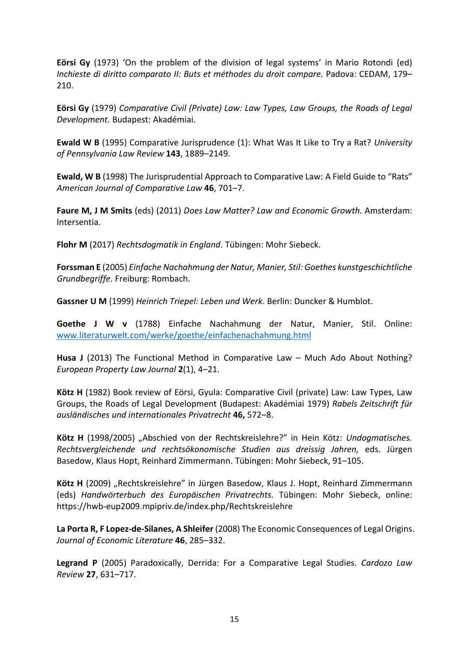**Eörsi Gy** (1973) 'On the problem of the division of legal systems' in Mario Rotondi (ed) *Inchieste di diritto comparato II: Buts et méthodes du droit compare.* Padova: CEDAM, 179– 210.

**Eörsi Gy** (1979) *Comparative Civil (Private) Law: Law Types, Law Groups, the Roads of Legal Development.* Budapest: Akadémiai.

**Ewald W B** (1995) Comparative Jurisprudence (1): What Was It Like to Try a Rat? *University of Pennsylvania Law Review* **143**, 1889–2149.

**Ewald, W B** (1998) The Jurisprudential Approach to Comparative Law: A Field Guide to "Rats" *American Journal of Comparative Law* **46**, 701–7.

**Faure M, J M Smits** (eds) (2011) *Does Law Matter? Law and Economic Growth.* Amsterdam: Intersentia.

**Flohr M** (2017) *Rechtsdogmatik in England*. Tübingen: Mohr Siebeck.

**Forssman E** (2005) *Einfache Nachahmung der Natur, Manier, Stil: Goethes kunstgeschichtliche Grundbegriffe.* Freiburg: Rombach.

**Gassner U M** (1999) *Heinrich Triepel: Leben und Werk*. Berlin: Duncker & Humblot.

**Goethe J W v** (1788) Einfache Nachahmung der Natur, Manier, Stil. Online: [www.literaturwelt.com/werke/goethe/einfachenachahmung.html](http://www.literaturwelt.com/werke/goethe/einfachenachahmung.html)

**Husa J** (2013) The Functional Method in Comparative Law – Much Ado About Nothing? *European Property Law Journal* **2**(1), 4–21.

**Kötz H** (1982) Book review of Eörsi, Gyula: Comparative Civil (private) Law: Law Types, Law Groups, the Roads of Legal Development (Budapest: Akadémiai 1979) *Rabels Zeitschrift für ausländisches und internationales Privatrecht* **46,** 572–8.

**Kötz H** (1998/2005) "Abschied von der Rechtskreislehre?" in Hein Kötz: *Undogmatisches. Rechtsvergleichende und rechtsökonomische Studien aus dreissig Jahren,* eds. Jürgen Basedow, Klaus Hopt, Reinhard Zimmermann. Tübingen: Mohr Siebeck, 91–105.

Kötz H (2009) "Rechtskreislehre" in Jürgen Basedow, Klaus J. Hopt, Reinhard Zimmermann (eds) *Handwörterbuch des Europäischen Privatrechts.* Tübingen: Mohr Siebeck, online: https://hwb-eup2009.mpipriv.de/index.php/Rechtskreislehre

**La Porta R, F Lopez-de-Silanes, A Shleifer** (2008) The Economic Consequences of Legal Origins. *Journal of Economic Literature* **46**, 285–332.

**Legrand P** (2005) Paradoxically, Derrida: For a Comparative Legal Studies. *Cardozo Law Review* **27**, 631–717.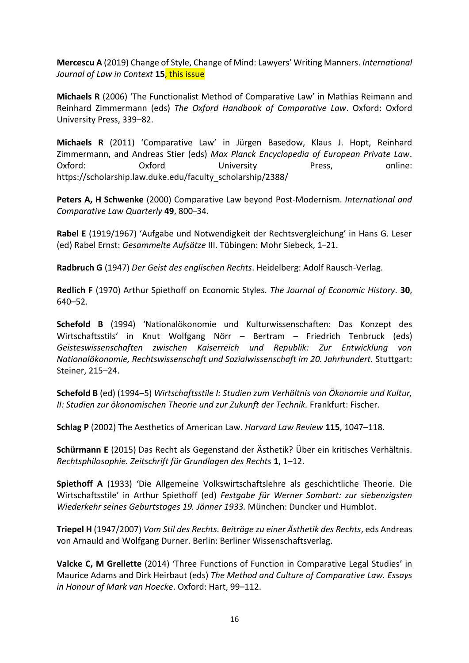**Mercescu A** (2019) Change of Style, Change of Mind: Lawyers' Writing Manners. *International Journal of Law in Context* **15**, this issue

**Michaels R** (2006) 'The Functionalist Method of Comparative Law' in Mathias Reimann and Reinhard Zimmermann (eds) *The Oxford Handbook of Comparative Law*. Oxford: Oxford University Press, 339–82.

**Michaels R** (2011) 'Comparative Law' in Jürgen Basedow, Klaus J. Hopt, Reinhard Zimmermann, and Andreas Stier (eds) *Max Planck Encyclopedia of European Private Law*. Oxford: Oxford University Press, online: https://scholarship.law.duke.edu/faculty\_scholarship/2388/

**Peters A, H Schwenke** (2000) Comparative Law beyond Post-Modernism. *International and Comparative Law Quarterly* **49**, 800–34.

**Rabel E** (1919/1967) 'Aufgabe und Notwendigkeit der Rechtsvergleichung' in Hans G. Leser (ed) Rabel Ernst: *Gesammelte Aufsätze* III. Tübingen: Mohr Siebeck, 1–21.

**Radbruch G** (1947) *Der Geist des englischen Rechts*. Heidelberg: Adolf Rausch-Verlag.

**Redlich F** (1970) Arthur Spiethoff on Economic Styles. *The Journal of Economic History*. **30**, 640–52.

**Schefold B** (1994) 'Nationalökonomie und Kulturwissenschaften: Das Konzept des Wirtschaftsstils' in Knut Wolfgang Nörr – Bertram – Friedrich Tenbruck (eds) *Geisteswissenschaften zwischen Kaiserreich und Republik: Zur Entwicklung von Nationalökonomie, Rechtswissenschaft und Sozialwissenschaft im 20. Jahrhundert.* Stuttgart: Steiner, 215–24.

**Schefold B** (ed) (1994–5) *Wirtschaftsstile I: Studien zum Verhältnis von Ökonomie und Kultur, II: Studien zur ökonomischen Theorie und zur Zukunft der Technik.* Frankfurt: Fischer.

**Schlag P** (2002) The Aesthetics of American Law. *Harvard Law Review* **115**, 1047–118.

**Schürmann E** (2015) Das Recht als Gegenstand der Ästhetik? Über ein kritisches Verhältnis. *Rechtsphilosophie. Zeitschrift für Grundlagen des Rechts* **1**, 1–12.

**Spiethoff A** (1933) 'Die Allgemeine Volkswirtschaftslehre als geschichtliche Theorie. Die Wirtschaftsstile' in Arthur Spiethoff (ed) *Festgabe für Werner Sombart: zur siebenzigsten Wiederkehr seines Geburtstages 19. Jänner 1933.* München: Duncker und Humblot.

**Triepel H** (1947/2007) *Vom Stil des Rechts. Beiträge zu einer Ästhetik des Rechts*, eds Andreas von Arnauld and Wolfgang Durner. Berlin: Berliner Wissenschaftsverlag.

**Valcke C, M Grellette** (2014) 'Three Functions of Function in Comparative Legal Studies' in Maurice Adams and Dirk Heirbaut (eds) *The Method and Culture of Comparative Law. Essays in Honour of Mark van Hoecke*. Oxford: Hart, 99–112.